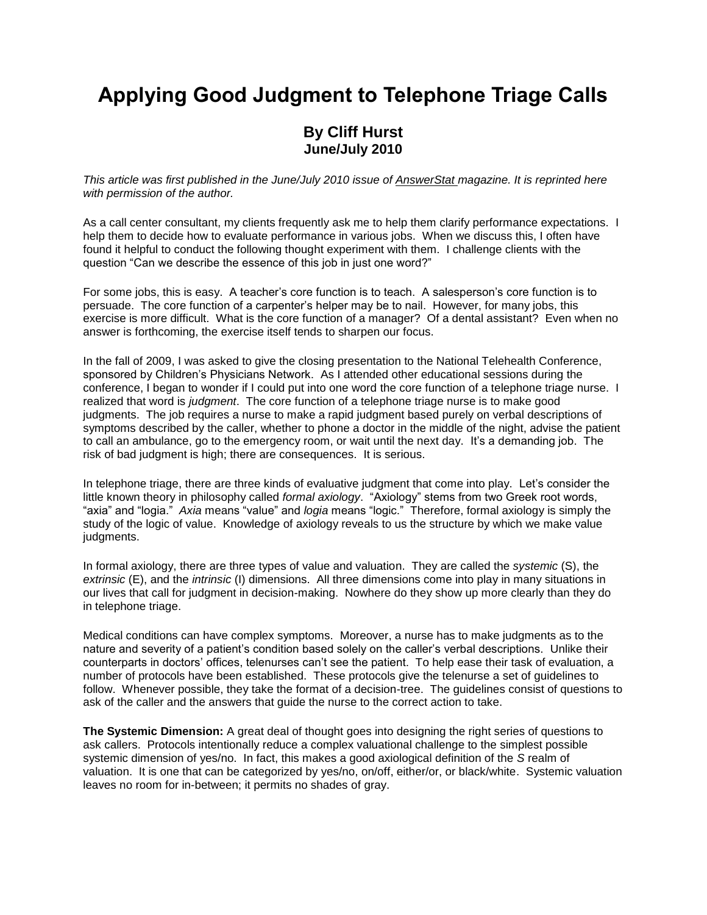## **Applying Good Judgment to Telephone Triage Calls**

## **By Cliff Hurst June/July 2010**

*This article was first published in the June/July 2010 issue of AnswerStat magazine. It is reprinted here with permission of the author.*

As a call center consultant, my clients frequently ask me to help them clarify performance expectations. I help them to decide how to evaluate performance in various jobs. When we discuss this, I often have found it helpful to conduct the following thought experiment with them. I challenge clients with the question "Can we describe the essence of this job in just one word?"

For some jobs, this is easy. A teacher's core function is to teach. A salesperson's core function is to persuade. The core function of a carpenter's helper may be to nail. However, for many jobs, this exercise is more difficult. What is the core function of a manager? Of a dental assistant? Even when no answer is forthcoming, the exercise itself tends to sharpen our focus.

In the fall of 2009, I was asked to give the closing presentation to the National Telehealth Conference, sponsored by Children's Physicians Network. As I attended other educational sessions during the conference, I began to wonder if I could put into one word the core function of a telephone triage nurse. I realized that word is *judgment*. The core function of a telephone triage nurse is to make good judgments. The job requires a nurse to make a rapid judgment based purely on verbal descriptions of symptoms described by the caller, whether to phone a doctor in the middle of the night, advise the patient to call an ambulance, go to the emergency room, or wait until the next day. It's a demanding job. The risk of bad judgment is high; there are consequences. It is serious.

In telephone triage, there are three kinds of evaluative judgment that come into play. Let's consider the little known theory in philosophy called *formal axiology*. "Axiology" stems from two Greek root words, "axia" and "logia." *Axia* means "value" and *logia* means "logic." Therefore, formal axiology is simply the study of the logic of value. Knowledge of axiology reveals to us the structure by which we make value judgments.

In formal axiology, there are three types of value and valuation. They are called the *systemic* (S), the *extrinsic* (E), and the *intrinsic* (I) dimensions. All three dimensions come into play in many situations in our lives that call for judgment in decision-making. Nowhere do they show up more clearly than they do in telephone triage.

Medical conditions can have complex symptoms. Moreover, a nurse has to make judgments as to the nature and severity of a patient's condition based solely on the caller's verbal descriptions. Unlike their counterparts in doctors' offices, telenurses can't see the patient. To help ease their task of evaluation, a number of protocols have been established. These protocols give the telenurse a set of guidelines to follow. Whenever possible, they take the format of a decision-tree. The guidelines consist of questions to ask of the caller and the answers that guide the nurse to the correct action to take.

**The Systemic Dimension:** A great deal of thought goes into designing the right series of questions to ask callers. Protocols intentionally reduce a complex valuational challenge to the simplest possible systemic dimension of yes/no. In fact, this makes a good axiological definition of the *S* realm of valuation. It is one that can be categorized by yes/no, on/off, either/or, or black/white. Systemic valuation leaves no room for in-between; it permits no shades of gray.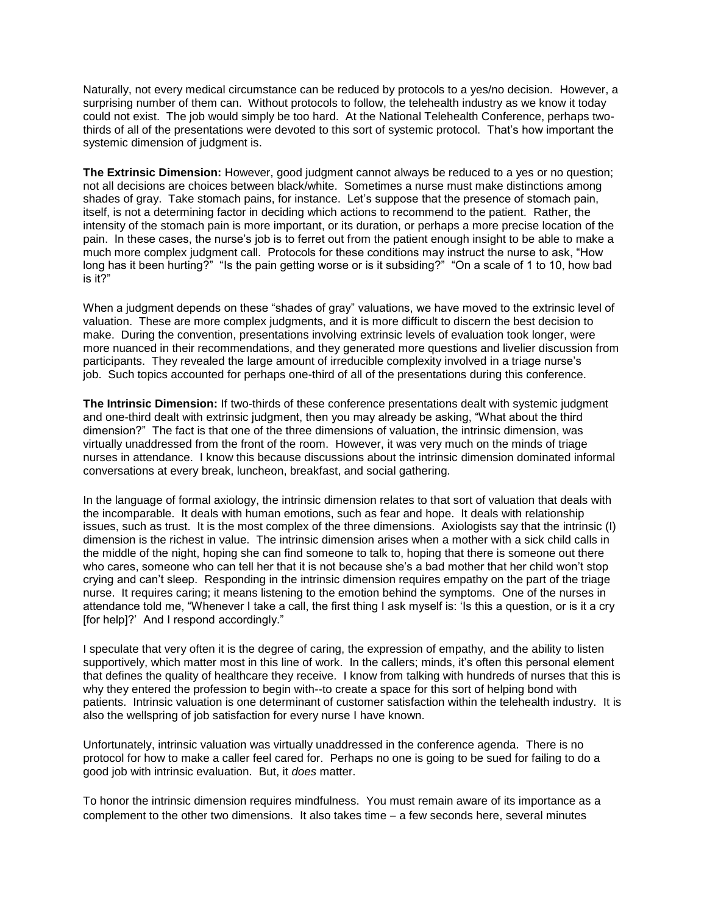Naturally, not every medical circumstance can be reduced by protocols to a yes/no decision. However, a surprising number of them can. Without protocols to follow, the telehealth industry as we know it today could not exist. The job would simply be too hard. At the National Telehealth Conference, perhaps twothirds of all of the presentations were devoted to this sort of systemic protocol. That's how important the systemic dimension of judgment is.

**The Extrinsic Dimension:** However, good judgment cannot always be reduced to a yes or no question; not all decisions are choices between black/white. Sometimes a nurse must make distinctions among shades of gray. Take stomach pains, for instance. Let's suppose that the presence of stomach pain, itself, is not a determining factor in deciding which actions to recommend to the patient. Rather, the intensity of the stomach pain is more important, or its duration, or perhaps a more precise location of the pain. In these cases, the nurse's job is to ferret out from the patient enough insight to be able to make a much more complex judgment call. Protocols for these conditions may instruct the nurse to ask, "How long has it been hurting?" "Is the pain getting worse or is it subsiding?" "On a scale of 1 to 10, how bad is it?"

When a judgment depends on these "shades of gray" valuations, we have moved to the extrinsic level of valuation. These are more complex judgments, and it is more difficult to discern the best decision to make. During the convention, presentations involving extrinsic levels of evaluation took longer, were more nuanced in their recommendations, and they generated more questions and livelier discussion from participants. They revealed the large amount of irreducible complexity involved in a triage nurse's job. Such topics accounted for perhaps one-third of all of the presentations during this conference.

**The Intrinsic Dimension:** If two-thirds of these conference presentations dealt with systemic judgment and one-third dealt with extrinsic judgment, then you may already be asking, "What about the third dimension?" The fact is that one of the three dimensions of valuation, the intrinsic dimension, was virtually unaddressed from the front of the room. However, it was very much on the minds of triage nurses in attendance. I know this because discussions about the intrinsic dimension dominated informal conversations at every break, luncheon, breakfast, and social gathering.

In the language of formal axiology, the intrinsic dimension relates to that sort of valuation that deals with the incomparable. It deals with human emotions, such as fear and hope. It deals with relationship issues, such as trust. It is the most complex of the three dimensions. Axiologists say that the intrinsic (I) dimension is the richest in value. The intrinsic dimension arises when a mother with a sick child calls in the middle of the night, hoping she can find someone to talk to, hoping that there is someone out there who cares, someone who can tell her that it is not because she's a bad mother that her child won't stop crying and can't sleep. Responding in the intrinsic dimension requires empathy on the part of the triage nurse. It requires caring; it means listening to the emotion behind the symptoms. One of the nurses in attendance told me, "Whenever I take a call, the first thing I ask myself is: 'Is this a question, or is it a cry [for help]?' And I respond accordingly."

I speculate that very often it is the degree of caring, the expression of empathy, and the ability to listen supportively, which matter most in this line of work. In the callers; minds, it's often this personal element that defines the quality of healthcare they receive. I know from talking with hundreds of nurses that this is why they entered the profession to begin with--to create a space for this sort of helping bond with patients. Intrinsic valuation is one determinant of customer satisfaction within the telehealth industry. It is also the wellspring of job satisfaction for every nurse I have known.

Unfortunately, intrinsic valuation was virtually unaddressed in the conference agenda. There is no protocol for how to make a caller feel cared for. Perhaps no one is going to be sued for failing to do a good job with intrinsic evaluation. But, it *does* matter.

To honor the intrinsic dimension requires mindfulness. You must remain aware of its importance as a complement to the other two dimensions. It also takes time  $-$  a few seconds here, several minutes